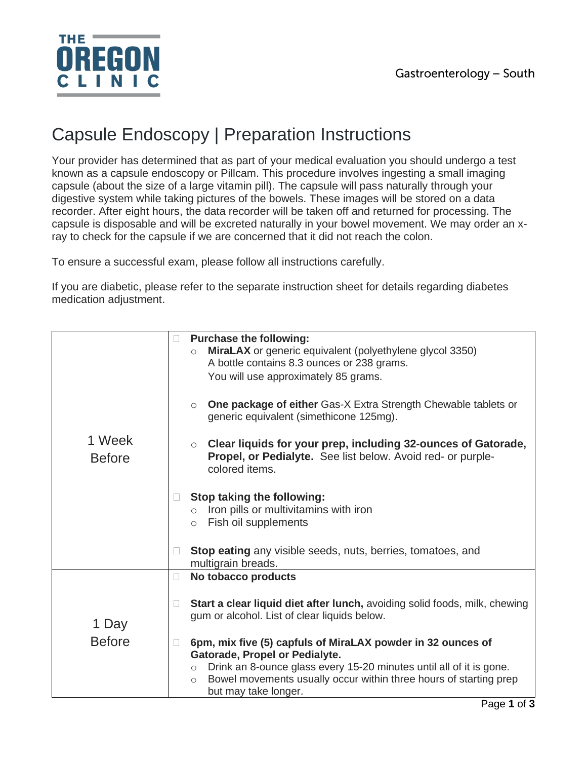

## Capsule Endoscopy | Preparation Instructions

Your provider has determined that as part of your medical evaluation you should undergo a test known as a capsule endoscopy or Pillcam. This procedure involves ingesting a small imaging capsule (about the size of a large vitamin pill). The capsule will pass naturally through your digestive system while taking pictures of the bowels. These images will be stored on a data recorder. After eight hours, the data recorder will be taken off and returned for processing. The capsule is disposable and will be excreted naturally in your bowel movement. We may order an xray to check for the capsule if we are concerned that it did not reach the colon.

To ensure a successful exam, please follow all instructions carefully.

If you are diabetic, please refer to the separate instruction sheet for details regarding diabetes medication adjustment.

|                         |   | <b>Purchase the following:</b><br>MiraLAX or generic equivalent (polyethylene glycol 3350)<br>$\circ$<br>A bottle contains 8.3 ounces or 238 grams.                                    |
|-------------------------|---|----------------------------------------------------------------------------------------------------------------------------------------------------------------------------------------|
| 1 Week<br><b>Before</b> |   | You will use approximately 85 grams.                                                                                                                                                   |
|                         |   | One package of either Gas-X Extra Strength Chewable tablets or<br>$\circ$<br>generic equivalent (simethicone 125mg).                                                                   |
|                         |   | Clear liquids for your prep, including 32-ounces of Gatorade,<br>$\circ$<br>Propel, or Pedialyte. See list below. Avoid red- or purple-<br>colored items.                              |
|                         |   | Stop taking the following:<br>$\circ$ Iron pills or multivitamins with iron<br>$\circ$ Fish oil supplements                                                                            |
|                         |   | Stop eating any visible seeds, nuts, berries, tomatoes, and<br>multigrain breads.                                                                                                      |
|                         | П | No tobacco products                                                                                                                                                                    |
| 1 Day<br><b>Before</b>  |   | Start a clear liquid diet after lunch, avoiding solid foods, milk, chewing<br>gum or alcohol. List of clear liquids below.                                                             |
|                         |   | 6pm, mix five (5) capfuls of MiraLAX powder in 32 ounces of<br>Gatorade, Propel or Pedialyte.                                                                                          |
|                         |   | Drink an 8-ounce glass every 15-20 minutes until all of it is gone.<br>$\circ$<br>Bowel movements usually occur within three hours of starting prep<br>$\circ$<br>but may take longer. |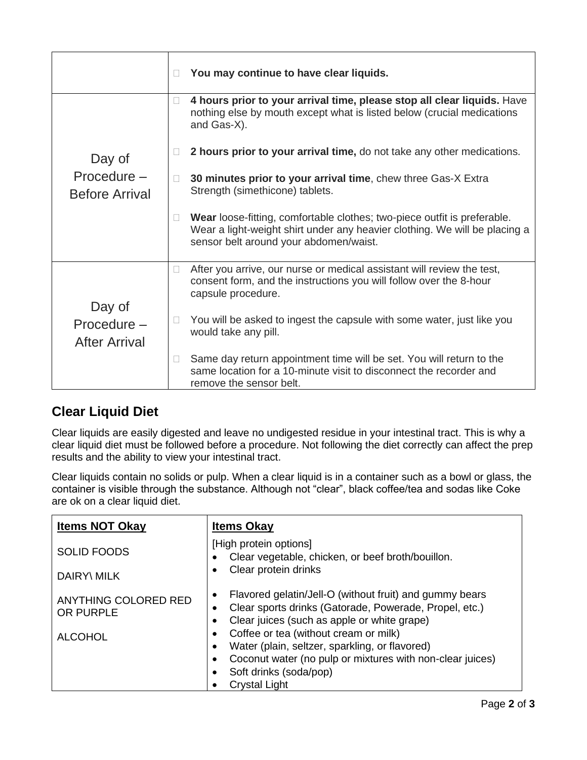|                                               | $\Box$ | You may continue to have clear liquids.                                                                                                                                                          |
|-----------------------------------------------|--------|--------------------------------------------------------------------------------------------------------------------------------------------------------------------------------------------------|
| Day of<br>Procedure-<br><b>Before Arrival</b> | n      | 4 hours prior to your arrival time, please stop all clear liquids. Have<br>nothing else by mouth except what is listed below (crucial medications<br>and Gas-X).                                 |
|                                               | П      | 2 hours prior to your arrival time, do not take any other medications.                                                                                                                           |
|                                               | П      | 30 minutes prior to your arrival time, chew three Gas-X Extra<br>Strength (simethicone) tablets.                                                                                                 |
|                                               | $\Box$ | Wear loose-fitting, comfortable clothes; two-piece outfit is preferable.<br>Wear a light-weight shirt under any heavier clothing. We will be placing a<br>sensor belt around your abdomen/waist. |
| Day of<br>Procedure-<br><b>After Arrival</b>  | $\Box$ | After you arrive, our nurse or medical assistant will review the test,<br>consent form, and the instructions you will follow over the 8-hour<br>capsule procedure.                               |
|                                               | $\Box$ | You will be asked to ingest the capsule with some water, just like you<br>would take any pill.                                                                                                   |
|                                               | 0      | Same day return appointment time will be set. You will return to the<br>same location for a 10-minute visit to disconnect the recorder and<br>remove the sensor belt.                            |

## **Clear Liquid Diet**

Clear liquids are easily digested and leave no undigested residue in your intestinal tract. This is why a clear liquid diet must be followed before a procedure. Not following the diet correctly can affect the prep results and the ability to view your intestinal tract.

Clear liquids contain no solids or pulp. When a clear liquid is in a container such as a bowl or glass, the container is visible through the substance. Although not "clear", black coffee/tea and sodas like Coke are ok on a clear liquid diet.

| <b>Items NOT Okay</b>             | <b>Items Okay</b>                                                                                                                                                             |  |  |
|-----------------------------------|-------------------------------------------------------------------------------------------------------------------------------------------------------------------------------|--|--|
| <b>SOLID FOODS</b>                | [High protein options]<br>Clear vegetable, chicken, or beef broth/bouillon.                                                                                                   |  |  |
| <b>DAIRY\ MILK</b>                | Clear protein drinks                                                                                                                                                          |  |  |
| ANYTHING COLORED RED<br>OR PURPLE | Flavored gelatin/Jell-O (without fruit) and gummy bears<br>Clear sports drinks (Gatorade, Powerade, Propel, etc.)<br>Clear juices (such as apple or white grape)<br>$\bullet$ |  |  |
| <b>ALCOHOL</b>                    | Coffee or tea (without cream or milk)<br>Water (plain, seltzer, sparkling, or flavored)                                                                                       |  |  |
|                                   | Coconut water (no pulp or mixtures with non-clear juices)<br>Soft drinks (soda/pop)<br><b>Crystal Light</b>                                                                   |  |  |